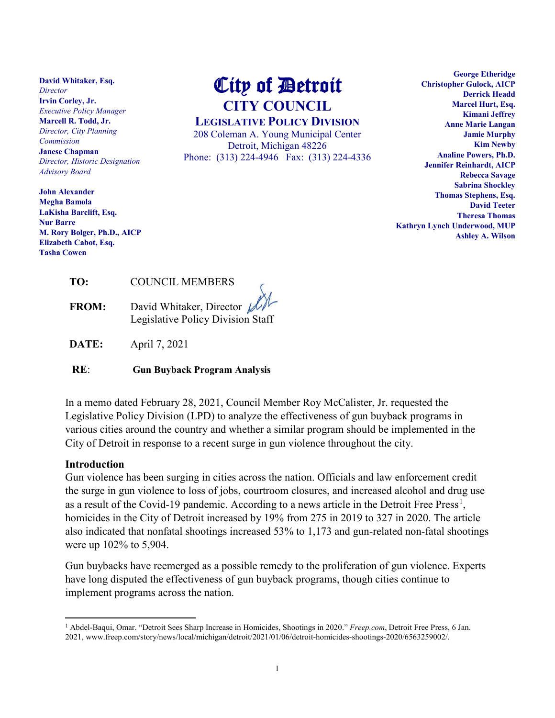**David Whitaker, Esq.** *Director* **Irvin Corley, Jr.** *Executive Policy Manager* **Marcell R. Todd, Jr.** *Director, City Planning Commission* **Janese Chapman** *Director, Historic Designation Advisory Board*

**John Alexander Megha Bamola LaKisha Barclift, Esq. Nur Barre M. Rory Bolger, Ph.D., AICP Elizabeth Cabot, Esq. Tasha Cowen**

# City of Detroit **CITY COUNCIL**

**LEGISLATIVE POLICY DIVISION**

208 Coleman A. Young Municipal Center Detroit, Michigan 48226 Phone: (313) 224-4946 Fax: (313) 224-4336

**George Etheridge Christopher Gulock, AICP Derrick Headd Marcel Hurt, Esq. Kimani Jeffrey Anne Marie Langan Jamie Murphy Kim Newby Analine Powers, Ph.D. Jennifer Reinhardt, AICP Rebecca Savage Sabrina Shockley Thomas Stephens, Esq. David Teeter Theresa Thomas Kathryn Lynch Underwood, MUP Ashley A. Wilson**

| TO: | <b>COUNCIL MEMBERS</b> |
|-----|------------------------|
|     |                        |

**FROM:** David Whitaker, Director Legislative Policy Division Staff

**DATE:** April 7, 2021

**RE**: **Gun Buyback Program Analysis**

In a memo dated February 28, 2021, Council Member Roy McCalister, Jr. requested the Legislative Policy Division (LPD) to analyze the effectiveness of gun buyback programs in various cities around the country and whether a similar program should be implemented in the City of Detroit in response to a recent surge in gun violence throughout the city.

#### **Introduction**

l

Gun violence has been surging in cities across the nation. Officials and law enforcement credit the surge in gun violence to loss of jobs, courtroom closures, and increased alcohol and drug use as a result of the Covid-[1](#page-0-0)9 pandemic. According to a news article in the Detroit Free Press<sup>1</sup>, homicides in the City of Detroit increased by 19% from 275 in 2019 to 327 in 2020. The article also indicated that nonfatal shootings increased 53% to 1,173 and gun-related non-fatal shootings were up 102% to 5,904.

Gun buybacks have reemerged as a possible remedy to the proliferation of gun violence. Experts have long disputed the effectiveness of gun buyback programs, though cities continue to implement programs across the nation.

<span id="page-0-0"></span><sup>1</sup> Abdel-Baqui, Omar. "Detroit Sees Sharp Increase in Homicides, Shootings in 2020." *Freep.com*, Detroit Free Press, 6 Jan. 2021, www.freep.com/story/news/local/michigan/detroit/2021/01/06/detroit-homicides-shootings-2020/6563259002/.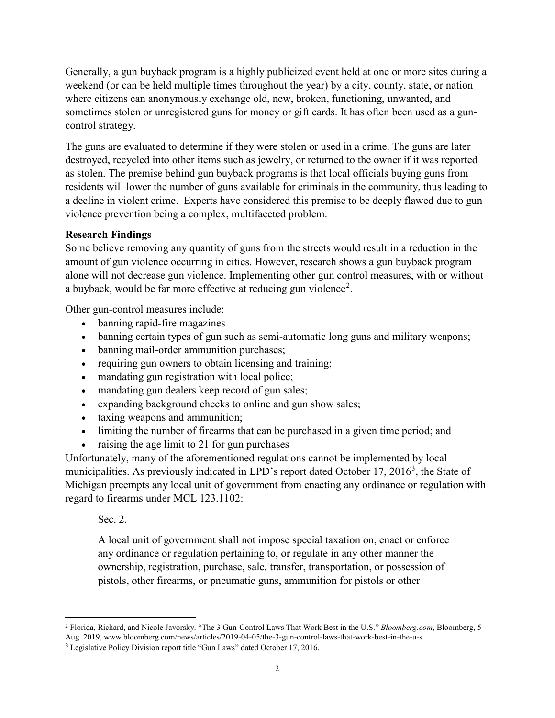Generally, a gun buyback program is a highly publicized event held at one or more sites during a weekend (or can be held multiple times throughout the year) by a city, county, state, or nation where citizens can anonymously exchange old, new, broken, functioning, unwanted, and sometimes stolen or unregistered guns for money or gift cards. It has often been used as a guncontrol strategy.

The guns are evaluated to determine if they were stolen or used in a crime. The guns are later destroyed, recycled into other items such as jewelry, or returned to the owner if it was reported as stolen. The premise behind gun buyback programs is that local officials buying guns from residents will lower the number of guns available for criminals in the community, thus leading to a decline in violent crime. Experts have considered this premise to be deeply flawed due to gun violence prevention being a complex, multifaceted problem.

## **Research Findings**

Some believe removing any quantity of guns from the streets would result in a reduction in the amount of gun violence occurring in cities. However, research shows a gun buyback program alone will not decrease gun violence. Implementing other gun control measures, with or without a buyback, would be far more effective at reducing gun violence<sup>[2](#page-1-0)</sup>.

Other gun-control measures include:

- banning rapid-fire magazines
- banning certain types of gun such as semi-automatic long guns and military weapons;
- banning mail-order ammunition purchases;
- requiring gun owners to obtain licensing and training;
- mandating gun registration with local police;
- mandating gun dealers keep record of gun sales;
- expanding background checks to online and gun show sales;
- taxing weapons and ammunition;
- limiting the number of firearms that can be purchased in a given time period; and
- raising the age limit to 21 for gun purchases

Unfortunately, many of the aforementioned regulations cannot be implemented by local municipalities. As previously indicated in LPD's report dated October 17, 2016<sup>[3](#page-1-1)</sup>, the State of Michigan preempts any local unit of government from enacting any ordinance or regulation with regard to firearms under MCL 123.1102:

Sec. 2.

A local unit of government shall not impose special taxation on, enact or enforce any ordinance or regulation pertaining to, or regulate in any other manner the ownership, registration, purchase, sale, transfer, transportation, or possession of pistols, other firearms, or pneumatic guns, ammunition for pistols or other

<span id="page-1-0"></span>l <sup>2</sup> Florida, Richard, and Nicole Javorsky. "The 3 Gun-Control Laws That Work Best in the U.S." *Bloomberg.com*, Bloomberg, 5 Aug. 2019, www.bloomberg.com/news/articles/2019-04-05/the-3-gun-control-laws-that-work-best-in-the-u-s.

<span id="page-1-1"></span><sup>3</sup> Legislative Policy Division report title "Gun Laws" dated October 17, 2016.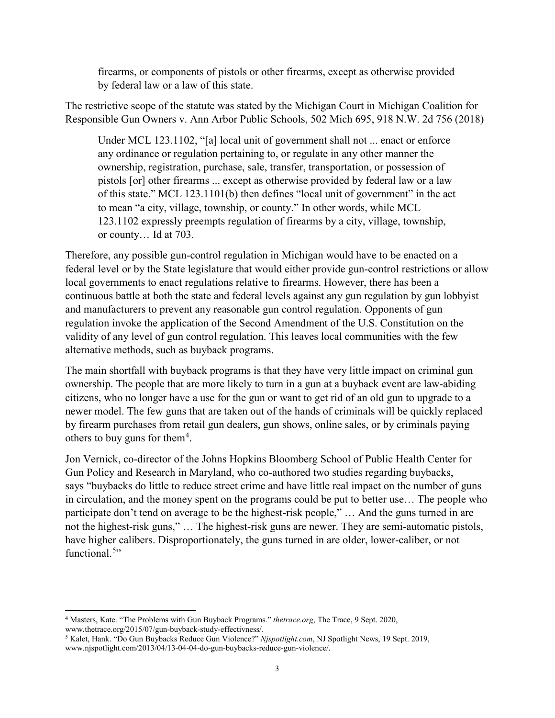firearms, or components of pistols or other firearms, except as otherwise provided by federal law or a law of this state.

The restrictive scope of the statute was stated by the Michigan Court in Michigan Coalition for Responsible Gun Owners v. Ann Arbor Public Schools, 502 Mich 695, 918 N.W. 2d 756 (2018)

Under MCL 123.1102, "[a] local unit of government shall not ... enact or enforce any ordinance or regulation pertaining to, or regulate in any other manner the ownership, registration, purchase, sale, transfer, transportation, or possession of pistols [or] other firearms ... except as otherwise provided by federal law or a law of this state." MCL 123.1101(b) then defines "local unit of government" in the act to mean "a city, village, township, or county." In other words, while MCL 123.1102 expressly preempts regulation of firearms by a city, village, township, or county… Id at 703.

Therefore, any possible gun-control regulation in Michigan would have to be enacted on a federal level or by the State legislature that would either provide gun-control restrictions or allow local governments to enact regulations relative to firearms. However, there has been a continuous battle at both the state and federal levels against any gun regulation by gun lobbyist and manufacturers to prevent any reasonable gun control regulation. Opponents of gun regulation invoke the application of the Second Amendment of the U.S. Constitution on the validity of any level of gun control regulation. This leaves local communities with the few alternative methods, such as buyback programs.

The main shortfall with buyback programs is that they have very little impact on criminal gun ownership. The people that are more likely to turn in a gun at a buyback event are law-abiding citizens, who no longer have a use for the gun or want to get rid of an old gun to upgrade to a newer model. The few guns that are taken out of the hands of criminals will be quickly replaced by firearm purchases from retail gun dealers, gun shows, online sales, or by criminals paying others to buy guns for them<sup>[4](#page-2-0)</sup>.

Jon Vernick, co-director of the [Johns Hopkins Bloomberg School of Public Health Center for](http://www.jhsph.edu/research/centers-and-institutes/johns-hopkins-center-for-gun-policy-and-research/about_us/faculty_staff.html)  [Gun Policy and Research](http://www.jhsph.edu/research/centers-and-institutes/johns-hopkins-center-for-gun-policy-and-research/about_us/faculty_staff.html) in Maryland, who co-authored two studies regarding buybacks, says "buybacks do little to reduce street crime and have little real impact on the number of guns in circulation, and the money spent on the programs could be put to better use… The people who participate don't tend on average to be the highest-risk people," … And the guns turned in are not the highest-risk guns," … The highest-risk guns are newer. They are semi-automatic pistols, have higher calibers. Disproportionately, the guns turned in are older, lower-caliber, or not functional.<sup>[5](#page-2-1)</sup>"

 $\overline{\phantom{a}}$ 

<span id="page-2-0"></span><sup>4</sup> Masters, Kate. "The Problems with Gun Buyback Programs." *thetrace.org*, The Trace, 9 Sept. 2020,

<span id="page-2-1"></span><sup>&</sup>lt;sup>5</sup> Kalet, Hank. "Do Gun Buybacks Reduce Gun Violence?" *Njspotlight.com*, NJ Spotlight News, 19 Sept. 2019, www.njspotlight.com/2013/04/13-04-04-do-gun-buybacks-reduce-gun-violence/.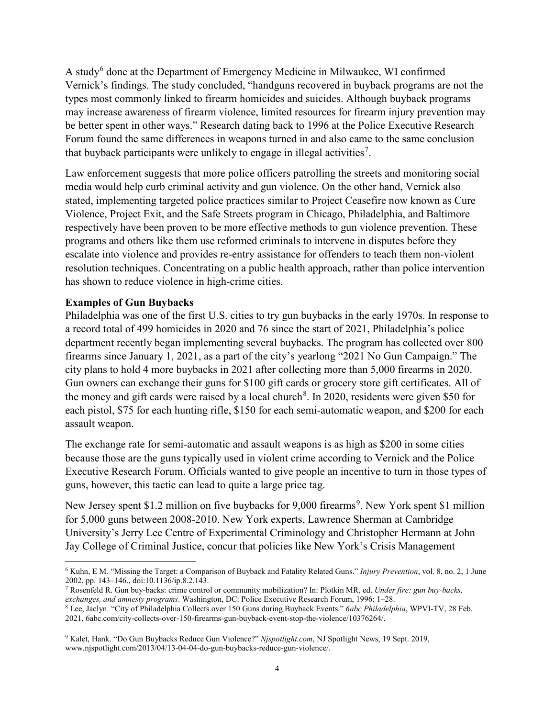A study<sup>[6](#page-3-0)</sup> done at the Department of Emergency Medicine in Milwaukee, WI confirmed Vernick's findings. The study concluded, "handguns recovered in buyback programs are not the types most commonly linked to firearm homicides and suicides. Although buyback programs may increase awareness of firearm violence, limited resources for firearm injury prevention may be better spent in other ways." Research dating back to 1996 at the Police Executive Research Forum found the same differences in weapons turned in and also came to the same conclusion that buyback participants were unlikely to engage in illegal activities<sup>[7](#page-3-1)</sup>.

Law enforcement suggests that more police officers patrolling the streets and monitoring social media would help curb criminal activity and gun violence. On the other hand, Vernick also stated, implementing targeted police practices similar to Project Ceasefire now known as Cure Violence, Project Exit, and the Safe Streets program in Chicago, Philadelphia, and Baltimore respectively have been proven to be more effective methods to gun violence prevention. These programs and others like them use reformed criminals to intervene in disputes before they escalate into violence and provides re-entry assistance for offenders to teach them non-violent resolution techniques. Concentrating on a public health approach, rather than police intervention has shown to reduce violence in high-crime cities.

#### **Examples of Gun Buybacks**

l

Philadelphia was one of the first U.S. cities to try gun buybacks in the early 1970s. In response to a record total of 499 homicides in 2020 and 76 since the start of 2021, Philadelphia's police department recently began implementing several buybacks. The program has collected over 800 firearms since January 1, 2021, as a part of the city's yearlong "2021 No Gun Campaign." The city plans to hold 4 more buybacks in 2021 after collecting more than 5,000 firearms in 2020. Gun owners can exchange their guns for \$100 gift cards or grocery store gift certificates. All of the money and gift cards were raised by a local church<sup>[8](#page-3-2)</sup>. In 2020, residents were given \$50 for each pistol, \$75 for each hunting rifle, \$150 for each semi-automatic weapon, and \$200 for each assault weapon.

The exchange rate for semi-automatic and assault weapons is as high as \$200 in some cities because those are the guns typically used in violent crime according to Vernick and the Police Executive Research Forum. Officials wanted to give people an incentive to turn in those types of guns, however, this tactic can lead to quite a large price tag.

New Jersey spent \$1.2 million on five buybacks for [9](#page-3-3),000 firearms<sup>9</sup>. New York spent \$1 million for 5,000 guns between 2008-2010. New York experts, Lawrence Sherman at Cambridge University's Jerry Lee Centre of Experimental Criminology and Christopher Hermann at John Jay College of Criminal Justice, concur that policies like New York's Crisis Management

<span id="page-3-0"></span><sup>6</sup> Kuhn, E M. "Missing the Target: a Comparison of Buyback and Fatality Related Guns." *Injury Prevention*, vol. 8, no. 2, 1 June 2002, pp. 143–146., doi:10.1136/ip.8.2.143.<br><sup>7</sup> Rosenfeld R. Gun buy-backs: crime control or community mobilization? In: Plotkin MR, ed. *Under fire: gun buy-backs*,

<span id="page-3-1"></span>*exchanges, and amnesty programs*. Washington, DC: Police Executive Research Forum, 1996: 1–28.

<span id="page-3-2"></span><sup>8</sup> Lee, Jaclyn. "City of Philadelphia Collects over 150 Guns during Buyback Events." *6abc Philadelphia*, WPVI-TV, 28 Feb. 2021, 6abc.com/city-collects-over-150-firearms-gun-buyback-event-stop-the-violence/10376264/.

<span id="page-3-3"></span><sup>9</sup> Kalet, Hank. "Do Gun Buybacks Reduce Gun Violence?" *Njspotlight.com*, NJ Spotlight News, 19 Sept. 2019, www.njspotlight.com/2013/04/13-04-04-do-gun-buybacks-reduce-gun-violence/.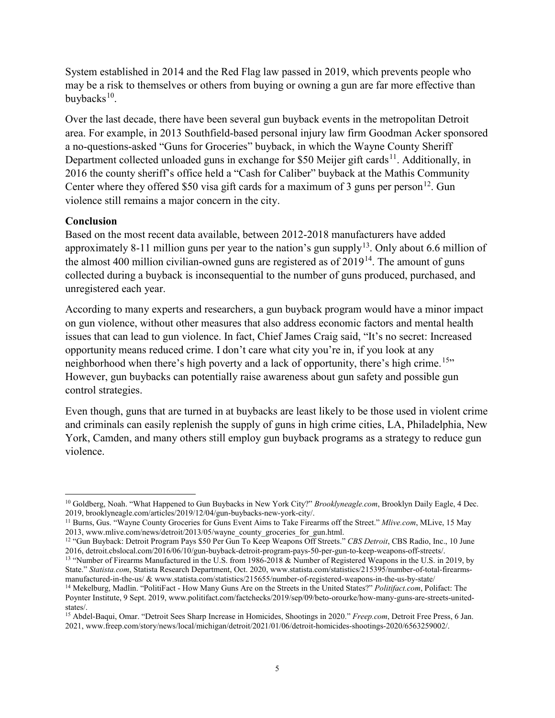System established in 2014 and the Red Flag law passed in 2019, which prevents people who may be a risk to themselves or others from buying or owning a gun are far more effective than buybacks $10$ .

Over the last decade, there have been several gun buyback events in the metropolitan Detroit area. For example, in 2013 Southfield-based personal injury law firm Goodman Acker sponsored a no-questions-asked "Guns for Groceries" buyback, in which the Wayne County Sheriff Department collected unloaded guns in exchange for \$50 Meijer gift cards<sup>11</sup>. Additionally, in 2016 the county sheriff's office held a "Cash for Caliber" buyback at the Mathis Community Center where they offered \$50 visa gift cards for a maximum of 3 guns per person<sup>12</sup>. Gun violence still remains a major concern in the city.

## **Conclusion**

Based on the most recent data available, between 2012-2018 manufacturers have added approximately 8-11 million guns per year to the nation's gun supply<sup>[13](#page-4-3)</sup>. Only about 6.6 million of the almost 400 million civilian-owned guns are registered as of  $2019<sup>14</sup>$ . The amount of guns collected during a buyback is inconsequential to the number of guns produced, purchased, and unregistered each year.

According to many experts and researchers, a gun buyback program would have a minor impact on gun violence, without other measures that also address economic factors and mental health issues that can lead to gun violence. In fact, Chief James Craig said, "It's no secret: Increased opportunity means reduced crime. I don't care what city you're in, if you look at any neighborhood when there's high poverty and a lack of opportunity, there's high crime.<sup>15</sup>" However, gun buybacks can potentially raise awareness about gun safety and possible gun control strategies.

Even though, guns that are turned in at buybacks are least likely to be those used in violent crime and criminals can easily replenish the supply of guns in high crime cities, LA, Philadelphia, New York, Camden, and many others still employ gun buyback programs as a strategy to reduce gun violence.

<span id="page-4-0"></span>l <sup>10</sup> Goldberg, Noah. "What Happened to Gun Buybacks in New York City?" *Brooklyneagle.com*, Brooklyn Daily Eagle, 4 Dec.<br>2019, brooklyneagle.com/articles/2019/12/04/gun-buybacks-new-york-city/.

<sup>&</sup>lt;sup>11</sup> Burns, Gus. "Wayne County Groceries for Guns Event Aims to Take Firearms off the Street." *Mlive.com*, MLive, 15 May

<span id="page-4-2"></span><span id="page-4-1"></span><sup>2013,</sup> www.mlive.com/news/detroit/2013/05/wayne\_county\_groceries\_for\_gun.html.<br><sup>12</sup> "Gun Buyback: Detroit Program Pays \$50 Per Gun To Keep Weapons Off Streets." *CBS Detroit*, CBS Radio, Inc., 10 June<br>2016, detroit.cbslocal

<span id="page-4-3"></span><sup>&</sup>lt;sup>13</sup> "Number of Firearms Manufactured in the U.S. from 1986-2018 & Number of Registered Weapons in the U.S. in 2019, by State." *Statista.com*, Statista Research Department, Oct. 2020, [www.statista.com/statistics/215395/number-of-total-firearms](http://www.statista.com/statistics/215395/number-of-total-firearms-manufactured-in-the-us/)[manufactured-in-the-us/](http://www.statista.com/statistics/215395/number-of-total-firearms-manufactured-in-the-us/) & [www.statista.com/statistics/215655/number-of-registered-weapons-in-the-us-by-state/](http://www.statista.com/statistics/215655/number-of-registered-weapons-in-the-us-by-state/)

<span id="page-4-4"></span><sup>14</sup> Mekelburg, Madlin. "PolitiFact - How Many Guns Are on the Streets in the United States?" *Politifact.com*, Polifact: The Poynter Institute, 9 Sept. 2019, www.politifact.com/factchecks/2019/sep/09/beto-orourke/how-many-guns-are-streets-unitedstates/.

<span id="page-4-5"></span><sup>15</sup> Abdel-Baqui, Omar. "Detroit Sees Sharp Increase in Homicides, Shootings in 2020." *Freep.com*, Detroit Free Press, 6 Jan. 2021, www.freep.com/story/news/local/michigan/detroit/2021/01/06/detroit-homicides-shootings-2020/6563259002/.